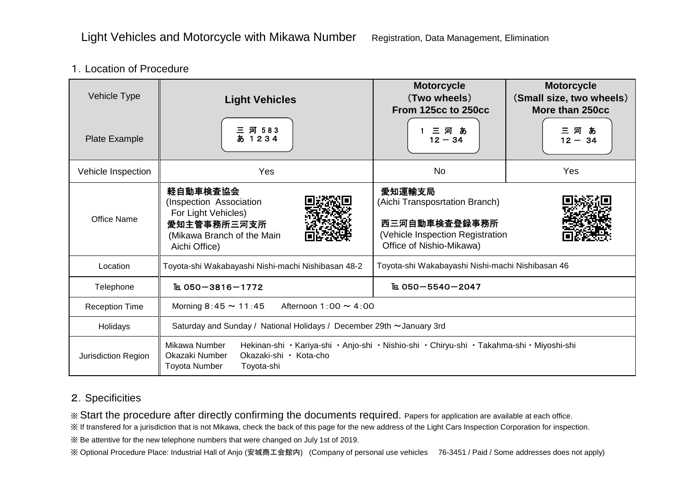## 1.Location of Procedure

| <b>Vehicle Type</b>                                                                                                                                                                                                                                                                                                 | <b>Light Vehicles</b>                                                                                                                                                                        | <b>Motorcycle</b><br>(Two wheels)<br>From 125cc to 250cc                                                                  | <b>Motorcycle</b><br>(Small size, two wheels)<br>More than 250cc |
|---------------------------------------------------------------------------------------------------------------------------------------------------------------------------------------------------------------------------------------------------------------------------------------------------------------------|----------------------------------------------------------------------------------------------------------------------------------------------------------------------------------------------|---------------------------------------------------------------------------------------------------------------------------|------------------------------------------------------------------|
| Plate Example                                                                                                                                                                                                                                                                                                       | 河 583<br>三 河 583<br>あ 1234                                                                                                                                                                   | 三河あ<br>$12 - 34$                                                                                                          | 三河あ<br>$12 - 34$                                                 |
| Vehicle Inspection                                                                                                                                                                                                                                                                                                  | Yes                                                                                                                                                                                          | <b>No</b>                                                                                                                 | Yes                                                              |
| <b>Office Name</b>                                                                                                                                                                                                                                                                                                  | 軽自動車検査協会<br>(Inspection Association<br>For Light Vehicles)<br>愛知主管事務所三河支所<br>(Mikawa Branch of the Main<br>Aichi Office)                                                                     | 愛知運輸支局<br>(Aichi Transposrtation Branch)<br>西三河自動車検査登録事務所<br>(Vehicle Inspection Registration<br>Office of Nishio-Mikawa) |                                                                  |
| Location                                                                                                                                                                                                                                                                                                            | Toyota-shi Wakabayashi Nishi-machi Nishibasan 48-2                                                                                                                                           | Toyota-shi Wakabayashi Nishi-machi Nishibasan 46                                                                          |                                                                  |
| Telephone                                                                                                                                                                                                                                                                                                           | TEL 050-3816-1772                                                                                                                                                                            | TEL 050-5540-2047                                                                                                         |                                                                  |
| <b>Reception Time</b>                                                                                                                                                                                                                                                                                               | Morning $8:45 \sim 11:45$<br>Afternoon $1:00 \sim 4:00$                                                                                                                                      |                                                                                                                           |                                                                  |
| Holidays                                                                                                                                                                                                                                                                                                            | Saturday and Sunday / National Holidays / December 29th ~January 3rd                                                                                                                         |                                                                                                                           |                                                                  |
| Jurisdiction Region                                                                                                                                                                                                                                                                                                 | Mikawa Number<br>Hekinan-shi · Kariya-shi · Anjo-shi · Nishio-shi · Chiryu-shi · Takahma-shi · Miyoshi-shi<br>Okazaki Number<br>Okazaki-shi · Kota-cho<br><b>Toyota Number</b><br>Toyota-shi |                                                                                                                           |                                                                  |
| 2. Specificities<br>* Start the procedure after directly confirming the documents required. Papers for application are available at each office.<br>※ If transfered for a jurisdiction that is not Mikawa, check the back of this page for the new address of the Light Cars Inspection Corporation for inspection. |                                                                                                                                                                                              |                                                                                                                           |                                                                  |

## 2.Specificities

※ Be attentive for the new telephone numbers that were changed on July 1st of 2019.

※ Optional Procedure Place: Industrial Hall of Anjo (安城商工会館内) (Company of personal use vehicles 76-3451 / Paid / Some addresses does not apply)